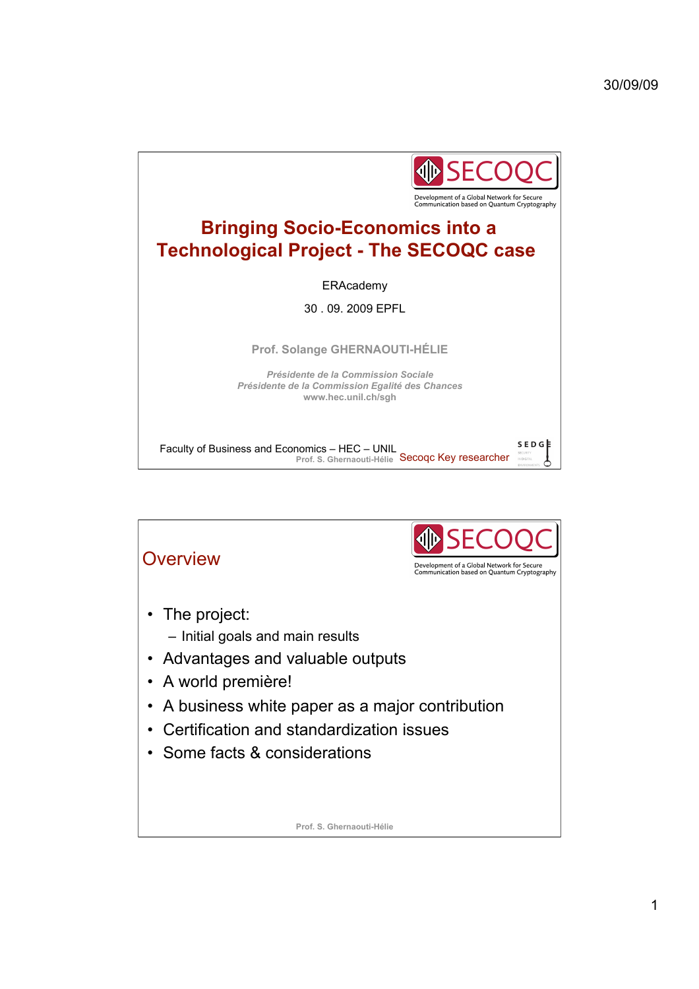

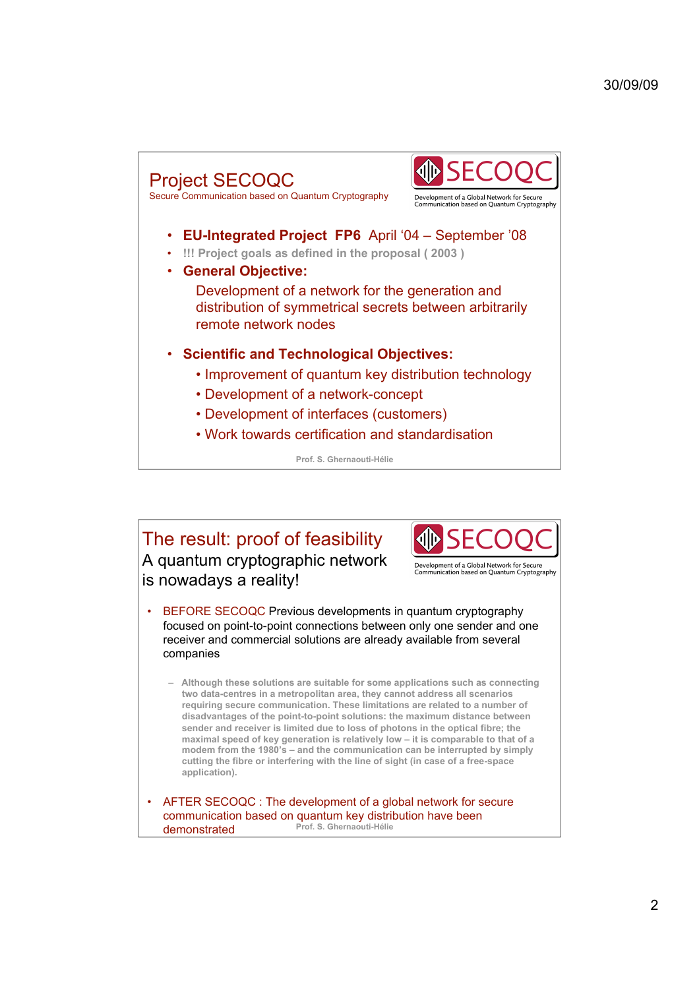

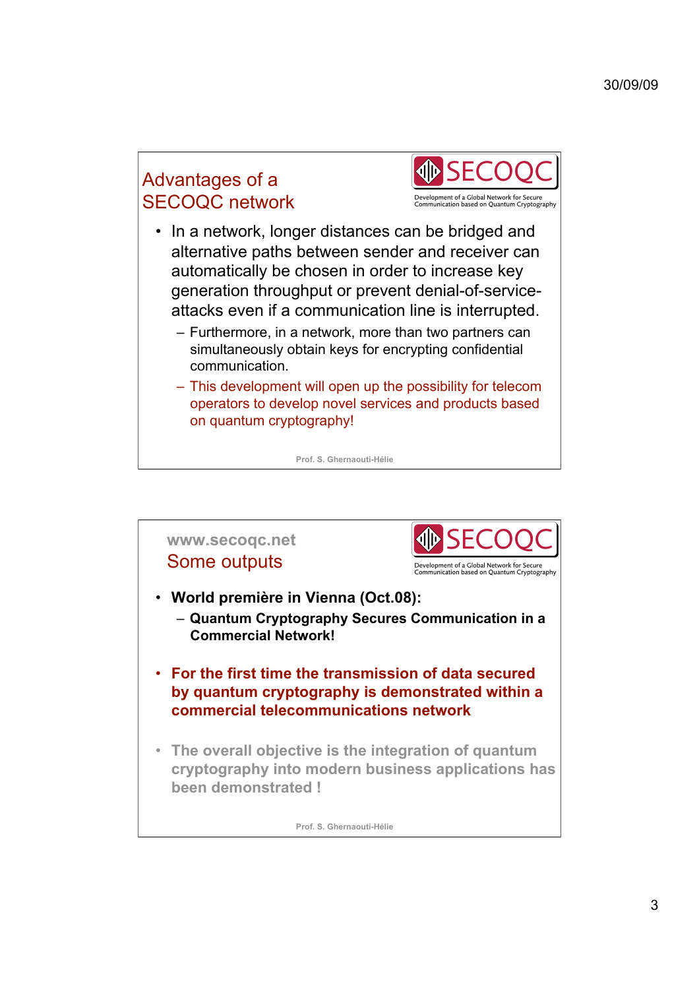# Advantages of a SECOQC network



- In a network, longer distances can be bridged and alternative paths between sender and receiver can automatically be chosen in order to increase key generation throughput or prevent denial-of-serviceattacks even if a communication line is interrupted.
	- Furthermore, in a network, more than two partners can simultaneously obtain keys for encrypting confidential communication.
	- This development will open up the possibility for telecom operators to develop novel services and products based on quantum cryptography!

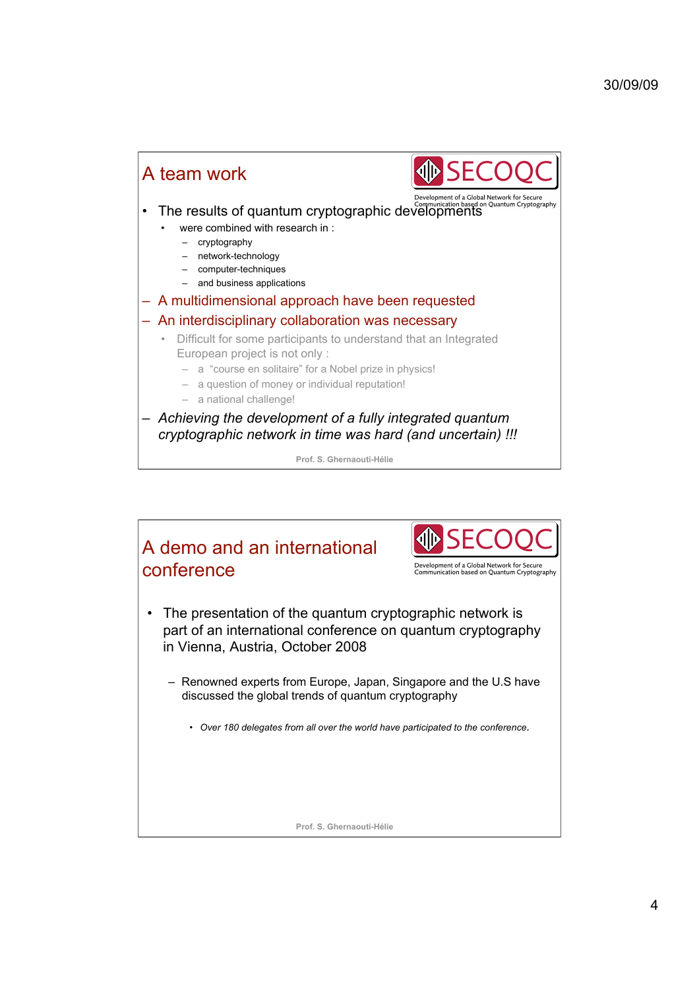### 30/09/09



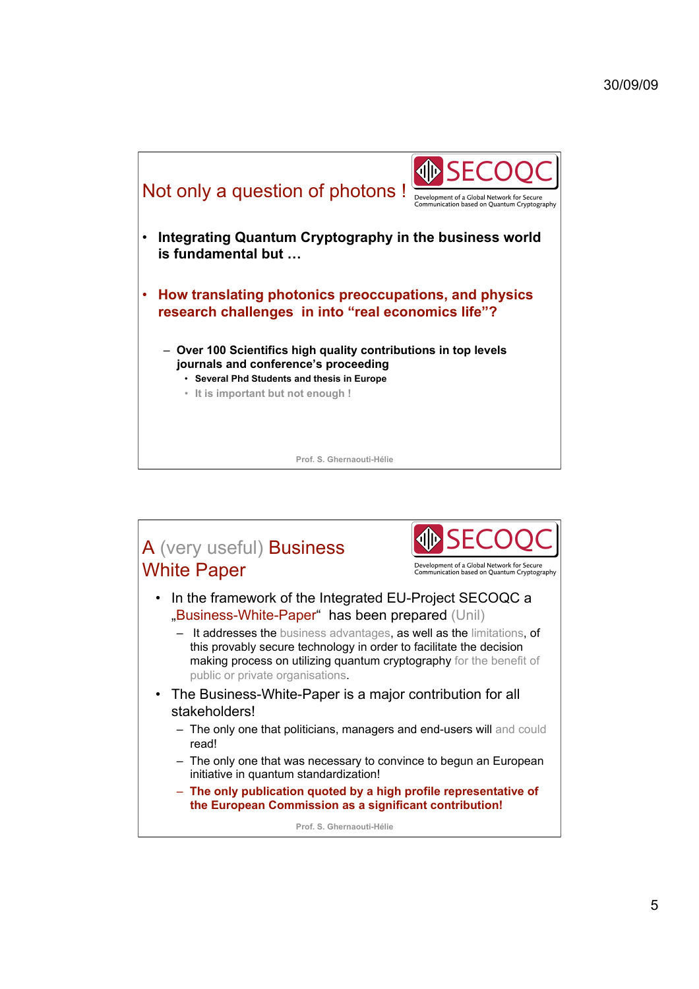

### A (very useful) Business White Paper Development of a Global Network for Secure<br>Communication based on Quantum Cryptography • In the framework of the Integrated EU-Project SECOQC a "Business-White-Paper" has been prepared (Unil) – It addresses the business advantages, as well as the limitations, of this provably secure technology in order to facilitate the decision making process on utilizing quantum cryptography for the benefit of public or private organisations. • The Business-White-Paper is a major contribution for all stakeholders! – The only one that politicians, managers and end-users will and could read! – The only one that was necessary to convince to begun an European initiative in quantum standardization! – **The only publication quoted by a high profile representative of the European Commission as a significant contribution! Prof. S. Ghernaouti-Hélie**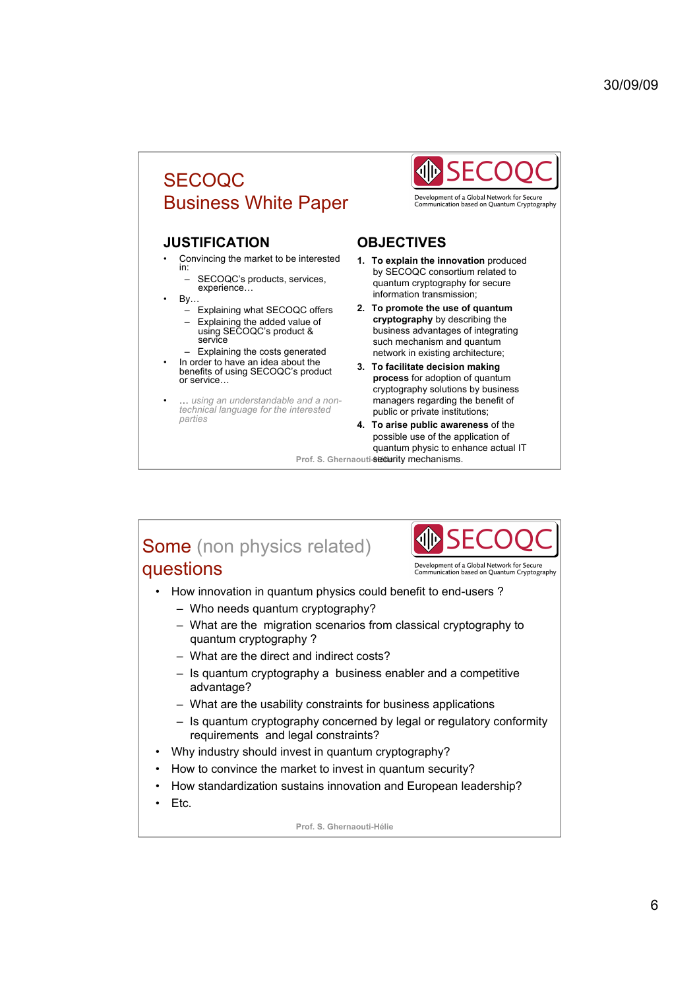## SECOQC Business White Paper

#### **JUSTIFICATION**

- Convincing the market to be interested in:
	- SECOQC's products, services, experience…
- $\mathsf{By}$ .
	- Explaining what SECOQC offers
	- Explaining the added value of using SECOQC's product & service
- Explaining the costs generated In order to have an idea about the benefits of using SECOQC's product or service…
- … *using an understandable and a non-technical language for the interested parties*



Development of a Global Network for Secure<br>Communication based on Quantum Cryptography

#### **OBJECTIVES**

- **1. To explain the innovation** produced by SECOQC consortium related to quantum cryptography for secure information transmission;
- **2. To promote the use of quantum cryptography** by describing the business advantages of integrating such mechanism and quantum network in existing architecture;
- **3. To facilitate decision making process** for adoption of quantum cryptography solutions by business managers regarding the benefit of public or private institutions;
- Prof. S. Ghernaouti-Security mechanisms. **4. To arise public awareness** of the possible use of the application of quantum physic to enhance actual IT

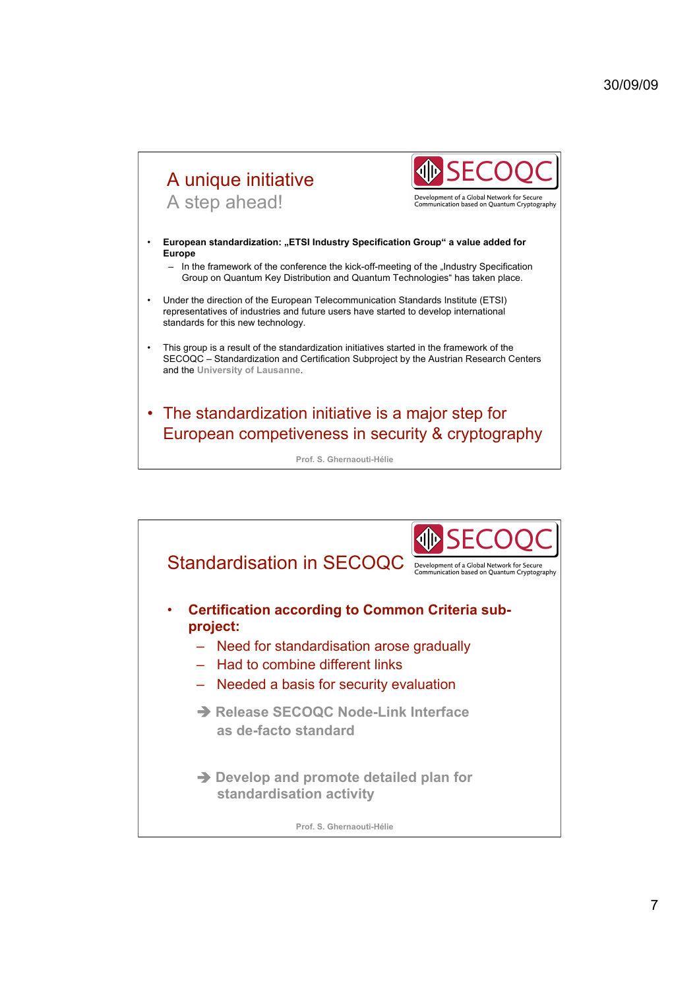### A unique initiative .<br>Development of a Global Network for Secure<br>Communication based on Quantum Cryptography A step ahead! **European standardization: "ETSI Industry Specification Group" a value added for Europe**  $-$  In the framework of the conference the kick-off-meeting of the "Industry Specification Group on Quantum Key Distribution and Quantum Technologies" has taken place. • Under the direction of the European Telecommunication Standards Institute (ETSI) representatives of industries and future users have started to develop international standards for this new technology. • This group is a result of the standardization initiatives started in the framework of the SECOQC – Standardization and Certification Subproject by the Austrian Research Centers and the **University of Lausanne**. • The standardization initiative is a major step for European competiveness in security & cryptography

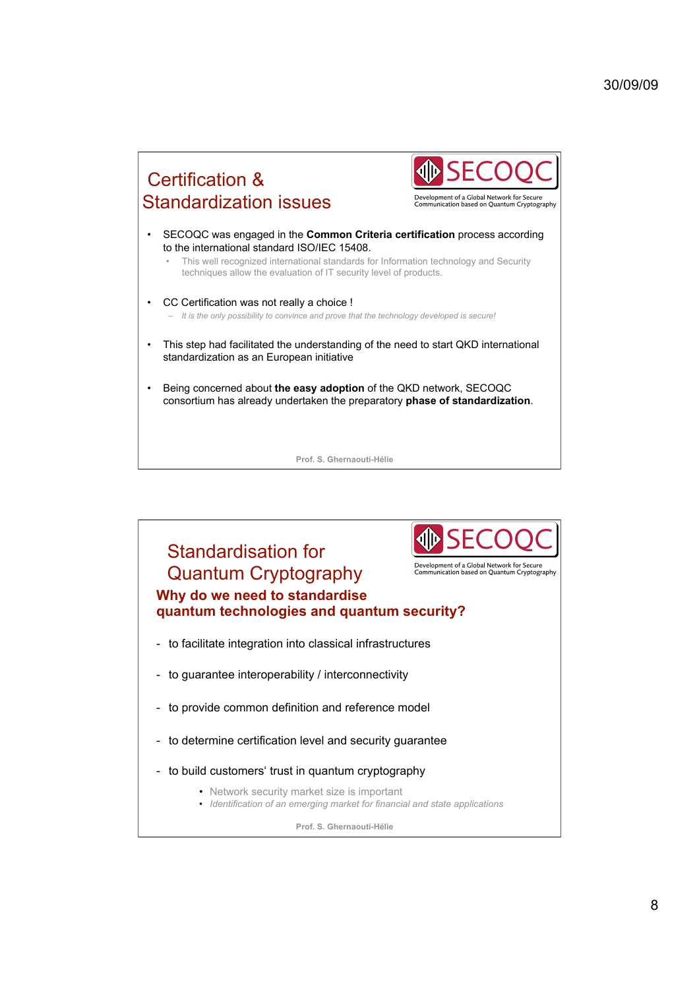# Certification & Standardization issues

Development of a Global Network for Secure<br>Communication based on Quantum Cryptography

- SECOQC was engaged in the **Common Criteria certification** process according to the international standard ISO/IEC 15408.
	- This well recognized international standards for Information technology and Security techniques allow the evaluation of IT security level of products.
- CC Certification was not really a choice ! – *It is the only possibility to convince and prove that the technology developed is secure!*
- This step had facilitated the understanding of the need to start QKD international standardization as an European initiative
- Being concerned about **the easy adoption** of the QKD network, SECOQC consortium has already undertaken the preparatory **phase of standardization**.

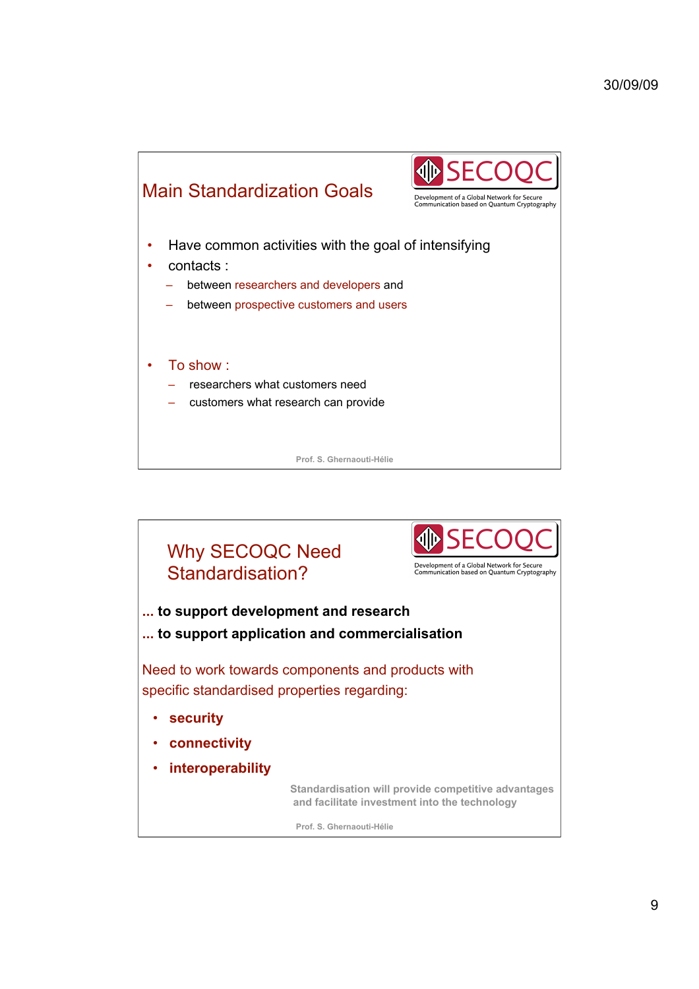

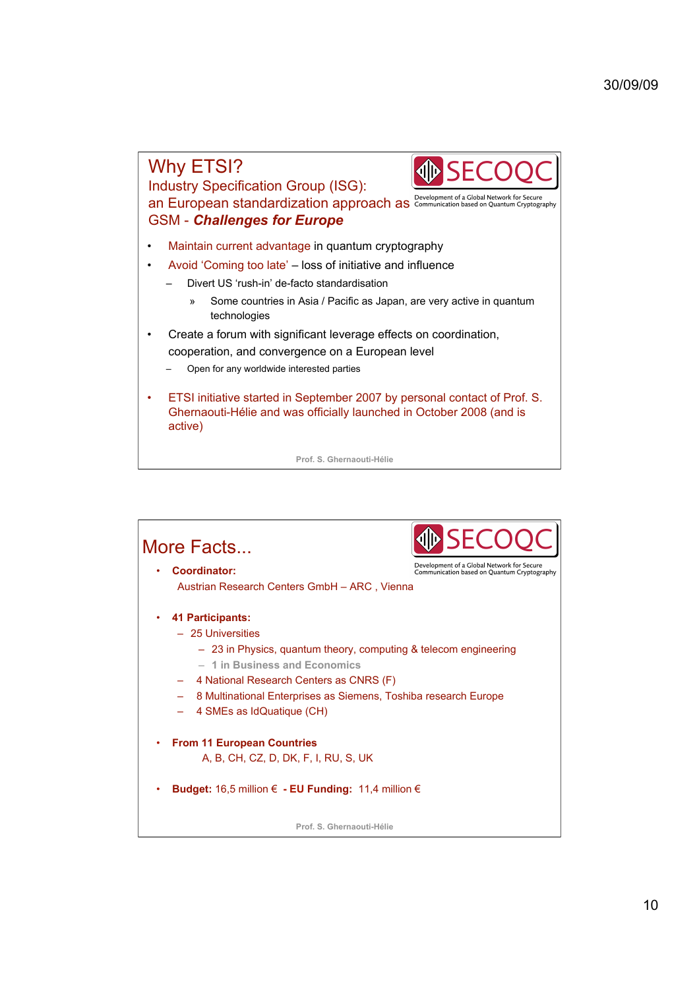

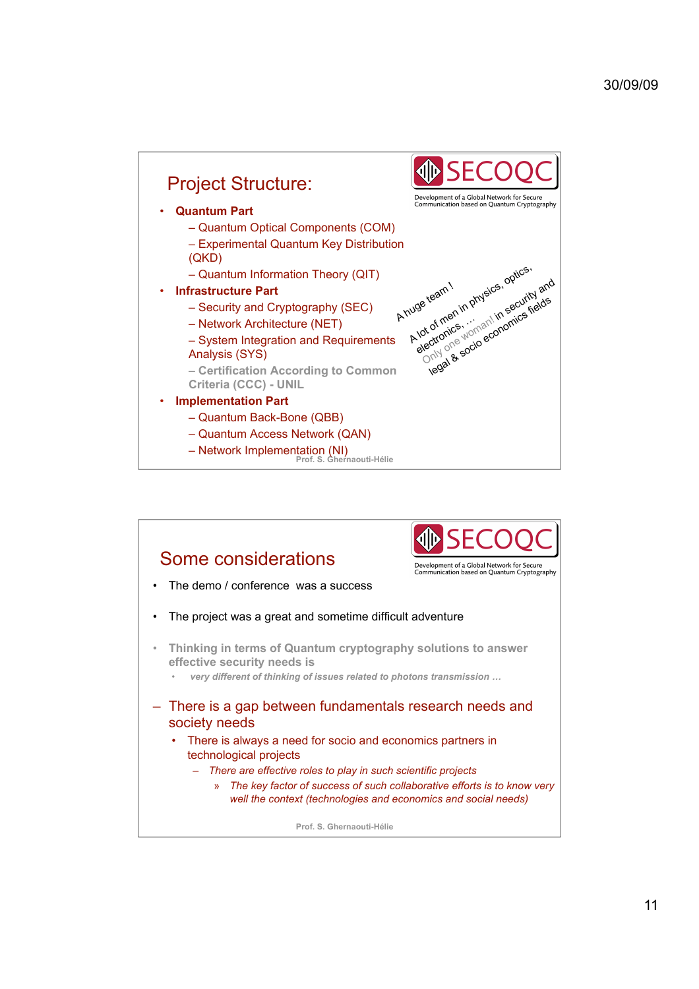